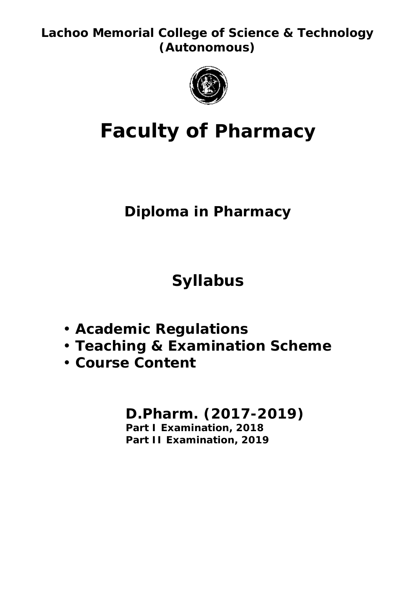**Lachoo Memorial College of Science & Technology (Autonomous)**



# **Faculty of Pharmacy**

## **Diploma in Pharmacy**

**Syllabus**

- **Academic Regulations**
- **Teaching & Examination Scheme**
- **Course Content**

### **D.Pharm. (2017-2019) Part I Examination, 2018 Part II Examination, 2019**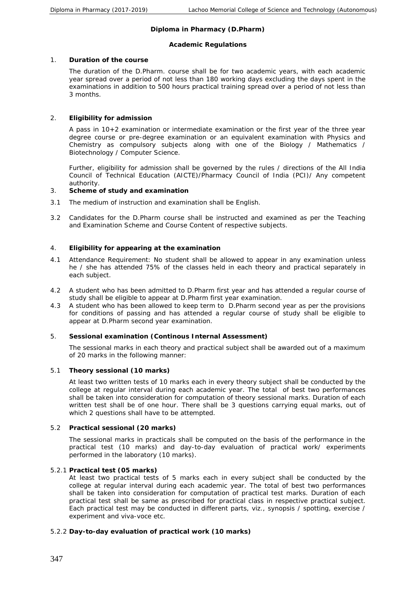#### **Diploma in Pharmacy (D.Pharm)**

#### **Academic Regulations**

1. **Duration of the course**

The duration of the D.Pharm. course shall be for two academic years, with each academic year spread over a period of not less than 180 working days excluding the days spent in the examinations in addition to 500 hours practical training spread over a period of not less than 3 months.

2. **Eligibility for admission**

A pass in 10+2 examination or intermediate examination or the first year of the three year degree course or pre-degree examination or an equivalent examination with Physics and Chemistry as compulsory subjects along with one of the Biology / Mathematics / Biotechnology / Computer Science.

Further, eligibility for admission shall be governed by the rules / directions of the All India Council of Technical Education (AICTE)/Pharmacy Council of India (PCI)/ Any competent authority.

- 3. **Scheme of study and examination**
- 3.1 The medium of instruction and examination shall be English.
- 3.2 Candidates for the D.Pharm course shall be instructed and examined as per the Teaching and Examination Scheme and Course Content of respective subjects.
- 4. **Eligibility for appearing at the examination**
- 4.1 Attendance Requirement: No student shall be allowed to appear in any examination unless he / she has attended 75% of the classes held in each theory and practical separately in each subject.
- 4.2 A student who has been admitted to D.Pharm first year and has attended a regular course of study shall be eligible to appear at D.Pharm first year examination.
- 4.3 A student who has been allowed to keep term to D.Pharm second year as per the provisions for conditions of passing and has attended a regular course of study shall be eligible to appear at D.Pharm second year examination.
- 5. **Sessional examination (Continous Internal Assessment)**

The sessional marks in each theory and practical subject shall be awarded out of a maximum of 20 marks in the following manner:

5.1 **Theory sessional (10 marks)**

At least two written tests of 10 marks each in every theory subject shall be conducted by the college at regular interval during each academic year. The total of best two performances shall be taken into consideration for computation of theory sessional marks. Duration of each written test shall be of one hour. There shall be 3 questions carrying equal marks, out of which 2 questions shall have to be attempted.

5.2 **Practical sessional (20 marks)**

The sessional marks in practicals shall be computed on the basis of the performance in the practical test (10 marks) and day-to-day evaluation of practical work/ experiments performed in the laboratory (10 marks).

5.2.1 **Practical test (05 marks)**

At least two practical tests of 5 marks each in every subject shall be conducted by the college at regular interval during each academic year. The total of best two performances shall be taken into consideration for computation of practical test marks. Duration of each practical test shall be same as prescribed for practical class in respective practical subject. Each practical test may be conducted in different parts, viz., synopsis / spotting, exercise / experiment and viva-voce etc.

5.2.2 **Day-to-day evaluation of practical work (10 marks)**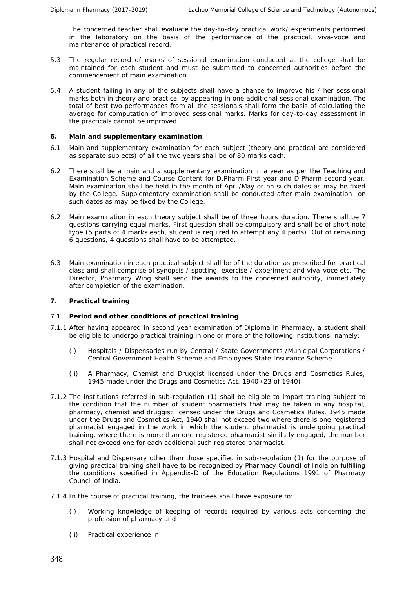The concerned teacher shall evaluate the day-to-day practical work/ experiments performed in the laboratory on the basis of the performance of the practical, viva-voce and maintenance of practical record.

- 5.3 The regular record of marks of sessional examination conducted at the college shall be maintained for each student and must be submitted to concerned authorities before the commencement of main examination.
- 5.4 A student failing in any of the subjects shall have a chance to improve his / her sessional marks both in theory and practical by appearing in one additional sessional examination. The total of best two performances from all the sessionals shall form the basis of calculating the average for computation of improved sessional marks. Marks for day-to-day assessment in the practicals cannot be improved.
- **6. Main and supplementary examination**
- 6.1 Main and supplementary examination for each subject (theory and practical are considered as separate subjects) of all the two years shall be of 80 marks each.
- 6.2 There shall be a main and a supplementary examination in a year as per the Teaching and Examination Scheme and Course Content for D.Pharm First year and D.Pharm second year. Main examination shall be held in the month of April/May or on such dates as may be fixed by the College. Supplementary examination shall be conducted after main examination on such dates as may be fixed by the College.
- 6.2 Main examination in each theory subject shall be of three hours duration. There shall be 7 questions carrying equal marks. First question shall be compulsory and shall be of short note type (5 parts of 4 marks each, student is required to attempt any 4 parts). Out of remaining 6 questions, 4 questions shall have to be attempted.
- 6.3 Main examination in each practical subject shall be of the duration as prescribed for practical class and shall comprise of synopsis / spotting, exercise / experiment and viva-voce etc. The Director, Pharmacy Wing shall send the awards to the concerned authority, immediately after completion of the examination.
- **7. Practical training**
- 7.1 **Period and other conditions of practical training**
- 7.1.1 After having appeared in second year examination of Diploma in Pharmacy, a student shall be eligible to undergo practical training in one or more of the following institutions, namely:
	- (i) Hospitals / Dispensaries run by Central / State Governments /Municipal Corporations / Central Government Health Scheme and Employees State Insurance Scheme.
	- (ii) A Pharmacy, Chemist and Druggist licensed under the Drugs and Cosmetics Rules, 1945 made under the Drugs and Cosmetics Act, 1940 (23 of 1940).
- 7.1.2 The institutions referred in sub-regulation (1) shall be eligible to impart training subject to the condition that the number of student pharmacists that may be taken in any hospital, pharmacy, chemist and druggist licensed under the Drugs and Cosmetics Rules, 1945 made under the Drugs and Cosmetics Act, 1940 shall not exceed two where there is one registered pharmacist engaged in the work in which the student pharmacist is undergoing practical training, where there is more than one registered pharmacist similarly engaged, the number shall not exceed one for each additional such registered pharmacist.
- 7.1.3 Hospital and Dispensary other than those specified in sub-regulation (1) for the purpose of giving practical training shall have to be recognized by Pharmacy Council of India on fulfilling the conditions specified in Appendix-D of the Education Regulations 1991 of Pharmacy Council of India.
- 7.1.4 In the course of practical training, the trainees shall have exposure to:
	- (i) Working knowledge of keeping of records required by various acts concerning the profession of pharmacy and
	- (ii) Practical experience in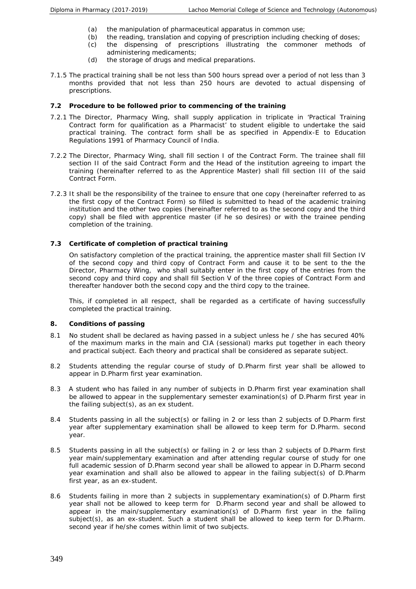- (a) the manipulation of pharmaceutical apparatus in common use;
- (b) the reading, translation and copying of prescription including checking of doses;
- (c) the dispensing of prescriptions illustrating the commoner methods of administering medicaments;
- (d) the storage of drugs and medical preparations.
- 7.1.5 The practical training shall be not less than 500 hours spread over a period of not less than 3 months provided that not less than 250 hours are devoted to actual dispensing of prescriptions.
- **7.2 Procedure to be followed prior to commencing of the training**
- 7.2.1 The Director, Pharmacy Wing, shall supply application in triplicate in 'Practical Training Contract form for qualification as a Pharmacist' to student eligible to undertake the said practical training. The contract form shall be as specified in Appendix-E to Education Regulations 1991 of Pharmacy Council of India.
- 7.2.2 The Director, Pharmacy Wing, shall fill section I of the Contract Form. The trainee shall fill section II of the said Contract Form and the Head of the institution agreeing to impart the training (hereinafter referred to as the Apprentice Master) shall fill section III of the said Contract Form.
- 7.2.3 It shall be the responsibility of the trainee to ensure that one copy (hereinafter referred to as the first copy of the Contract Form) so filled is submitted to head of the academic training institution and the other two copies (hereinafter referred to as the second copy and the third copy) shall be filed with apprentice master (if he so desires) or with the trainee pending completion of the training.
- **7.3 Certificate of completion of practical training**

On satisfactory completion of the practical training, the apprentice master shall fill Section IV of the second copy and third copy of Contract Form and cause it to be sent to the the Director, Pharmacy Wing, who shall suitably enter in the first copy of the entries from the second copy and third copy and shall fill Section V of the three copies of Contract Form and thereafter handover both the second copy and the third copy to the trainee.

This, if completed in all respect, shall be regarded as a certificate of having successfully completed the practical training.

- **8. Conditions of passing**
- 8.1 No student shall be declared as having passed in a subject unless he / she has secured 40% of the maximum marks in the main and CIA (sessional) marks put together in each theory and practical subject. Each theory and practical shall be considered as separate subject.
- 8.2 Students attending the regular course of study of D.Pharm first year shall be allowed to appear in D.Pharm first year examination.
- 8.3 A student who has failed in any number of subjects in D.Pharm first year examination shall be allowed to appear in the supplementary semester examination(s) of D.Pharm first year in the failing subject(s), as an ex student.
- 8.4 Students passing in all the subject(s) or failing in 2 or less than 2 subjects of D.Pharm first year after supplementary examination shall be allowed to keep term for D.Pharm. second year.
- 8.5 Students passing in all the subject(s) or failing in 2 or less than 2 subjects of D.Pharm first year main/supplementary examination and after attending regular course of study for one full academic session of D.Pharm second year shall be allowed to appear in D.Pharm second year examination and shall also be allowed to appear in the failing subject(s) of D.Pharm first year, as an ex-student.
- 8.6 Students failing in more than 2 subjects in supplementary examination(s) of D.Pharm first year shall not be allowed to keep term for D.Pharm second year and shall be allowed to appear in the main/supplementary examination(s) of D.Pharm first year in the failing subject(s), as an ex-student. Such a student shall be allowed to keep term for D.Pharm. second year if he/she comes within limit of two subjects.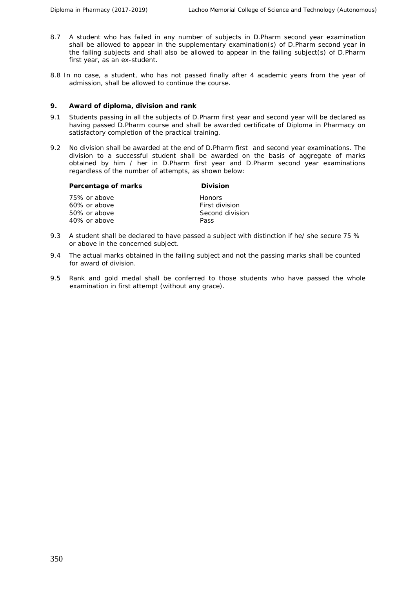- 8.7 A student who has failed in any number of subjects in D.Pharm second year examination shall be allowed to appear in the supplementary examination(s) of D.Pharm second year in the failing subjects and shall also be allowed to appear in the failing subject(s) of D.Pharm first year, as an ex-student.
- 8.8 In no case, a student, who has not passed finally after 4 academic years from the year of admission, shall be allowed to continue the course.
- **9. Award of diploma, division and rank**
- 9.1 Students passing in all the subjects of D.Pharm first year and second year will be declared as having passed D.Pharm course and shall be awarded certificate of Diploma in Pharmacy on satisfactory completion of the practical training.
- 9.2 No division shall be awarded at the end of D.Pharm first and second year examinations. The division to a successful student shall be awarded on the basis of aggregate of marks obtained by him / her in D.Pharm first year and D.Pharm second year examinations regardless of the number of attempts, as shown below:

| Percentage of marks | Division        |
|---------------------|-----------------|
| 75% or above        | <b>Honors</b>   |
| 60% or above        | First division  |
| 50% or above        | Second division |
| 40% or above        | Pass            |

- 9.3 A student shall be declared to have passed a subject with distinction if he/ she secure 75 % or above in the concerned subject.
- 9.4 The actual marks obtained in the failing subject and not the passing marks shall be counted for award of division.
- 9.5 Rank and gold medal shall be conferred to those students who have passed the whole examination in first attempt (without any grace).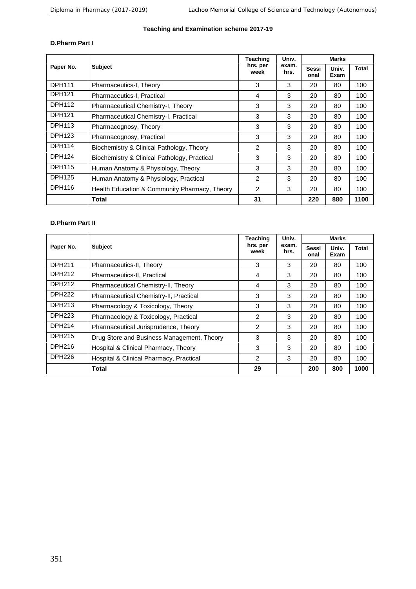#### **Teaching and Examination scheme 2017-19**

#### **D.Pharm Part I**

|               |                                               | <b>Teaching</b>  | Univ.         | Marks                |               |       |
|---------------|-----------------------------------------------|------------------|---------------|----------------------|---------------|-------|
| Paper No.     | <b>Subject</b>                                | hrs. per<br>week | exam.<br>hrs. | <b>Sessi</b><br>onal | Univ.<br>Exam | Total |
| <b>DPH111</b> | Pharmaceutics-I, Theory                       | 3                | 3             | 20                   | 80            | 100   |
| <b>DPH121</b> | Pharmaceutics-I, Practical                    | 4                | 3             | 20                   | 80            | 100   |
| <b>DPH112</b> | Pharmaceutical Chemistry-I, Theory            | 3                | 3             | 20                   | 80            | 100   |
| <b>DPH121</b> | Pharmaceutical Chemistry-I, Practical         | 3                | 3             | 20                   | 80            | 100   |
| <b>DPH113</b> | Pharmacognosy, Theory                         | 3                | 3             | 20                   | 80            | 100   |
| DPH123        | Pharmacognosy, Practical                      | 3                | 3             | 20                   | 80            | 100   |
| <b>DPH114</b> | Biochemistry & Clinical Pathology, Theory     | 2                | 3             | 20                   | 80            | 100   |
| DPH124        | Biochemistry & Clinical Pathology, Practical  | 3                | 3             | 20                   | 80            | 100   |
| <b>DPH115</b> | Human Anatomy & Physiology, Theory            | 3                | 3             | 20                   | 80            | 100   |
| <b>DPH125</b> | Human Anatomy & Physiology, Practical         | 2                | 3             | 20                   | 80            | 100   |
| DPH116        | Health Education & Community Pharmacy, Theory | 2                | 3             | 20                   | 80            | 100   |
|               | Total                                         | 31               |               | 220                  | 880           | 1100  |

#### **D.Pharm Part II**

|               |                                            | Teaching         | Univ.         | <b>Marks</b>  |               |       |
|---------------|--------------------------------------------|------------------|---------------|---------------|---------------|-------|
| Paper No.     | <b>Subject</b>                             | hrs. per<br>week | exam.<br>hrs. | Sessi<br>onal | Univ.<br>Exam | Total |
| DPH211        | Pharmaceutics-II, Theory                   | 3                | 3             | 20            | 80            | 100   |
| <b>DPH212</b> | Pharmaceutics-II, Practical                | 4                | 3             | 20            | 80            | 100   |
| <b>DPH212</b> | Pharmaceutical Chemistry-II, Theory        | 4                | 3             | 20            | 80            | 100   |
| <b>DPH222</b> | Pharmaceutical Chemistry-II, Practical     | 3                | 3             | 20            | 80            | 100   |
| DPH213        | Pharmacology & Toxicology, Theory          | 3                | 3             | 20            | 80            | 100   |
| <b>DPH223</b> | Pharmacology & Toxicology, Practical       | 2                | 3             | 20            | 80            | 100   |
| <b>DPH214</b> | Pharmaceutical Jurisprudence, Theory       | 2                | 3             | 20            | 80            | 100   |
| <b>DPH215</b> | Drug Store and Business Management, Theory | 3                | 3             | 20            | 80            | 100   |
| DPH216        | Hospital & Clinical Pharmacy, Theory       | 3                | 3             | 20            | 80            | 100   |
| DPH226        | Hospital & Clinical Pharmacy, Practical    | 2                | 3             | 20            | 80            | 100   |
|               | Total                                      | 29               |               | 200           | 800           | 1000  |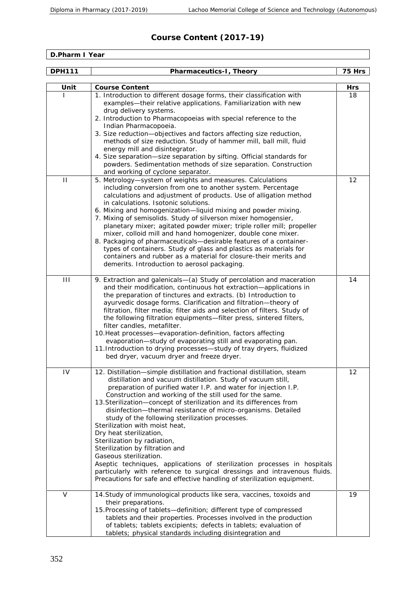#### **Course Content (2017-19)**

**D.Pharm I Year**

| <b>DPH111</b>  | Pharmaceutics-I, Theory                                                                                                                                                                                                                                                                                                                                                                                                                                                                                                                                                                                                                                                                                                                                                                                                                                       | 75 Hrs    |
|----------------|---------------------------------------------------------------------------------------------------------------------------------------------------------------------------------------------------------------------------------------------------------------------------------------------------------------------------------------------------------------------------------------------------------------------------------------------------------------------------------------------------------------------------------------------------------------------------------------------------------------------------------------------------------------------------------------------------------------------------------------------------------------------------------------------------------------------------------------------------------------|-----------|
| Unit           | Course Content                                                                                                                                                                                                                                                                                                                                                                                                                                                                                                                                                                                                                                                                                                                                                                                                                                                |           |
|                | 1. Introduction to different dosage forms, their classification with<br>examples-their relative applications. Familiarization with new<br>drug delivery systems.<br>2. Introduction to Pharmacopoeias with special reference to the<br>Indian Pharmacopoeia.<br>3. Size reduction-objectives and factors affecting size reduction,<br>methods of size reduction. Study of hammer mill, ball mill, fluid<br>energy mill and disintegrator.<br>4. Size separation-size separation by sifting. Official standards for<br>powders. Sedimentation methods of size separation. Construction<br>and working of cyclone separator.                                                                                                                                                                                                                                    | Hrs<br>18 |
| $\mathbf{H}$   | 5. Metrology-system of weights and measures. Calculations<br>including conversion from one to another system. Percentage<br>calculations and adjustment of products. Use of alligation method<br>in calculations. Isotonic solutions.<br>6. Mixing and homogenization-liquid mixing and powder mixing.<br>7. Mixing of semisolids. Study of silverson mixer homogensier,<br>planetary mixer; agitated powder mixer; triple roller mill; propeller<br>mixer, colloid mill and hand homogenizer, double cone mixer.<br>8. Packaging of pharmaceuticals-desirable features of a container-<br>types of containers. Study of glass and plastics as materials for<br>containers and rubber as a material for closure-their merits and<br>demerits. Introduction to aerosol packaging.                                                                              | 12        |
| $\mathbf{III}$ | 9. Extraction and galenicals-(a) Study of percolation and maceration<br>and their modification, continuous hot extraction-applications in<br>the preparation of tinctures and extracts. (b) Introduction to<br>ayurvedic dosage forms. Clarification and filtration-theory of<br>filtration, filter media; filter aids and selection of filters. Study of<br>the following filtration equipments-filter press, sintered filters,<br>filter candles, metafilter.<br>10. Heat processes-evaporation-definition, factors affecting<br>evaporation-study of evaporating still and evaporating pan.<br>11. Introduction to drying processes-study of tray dryers, fluidized<br>bed dryer, vacuum dryer and freeze dryer.                                                                                                                                           | 14        |
| IV             | 12. Distillation-simple distillation and fractional distillation, steam<br>distillation and vacuum distillation. Study of vacuum still,<br>preparation of purified water I.P. and water for injection I.P.<br>Construction and working of the still used for the same.<br>13. Sterilization-concept of sterilization and its differences from<br>disinfection-thermal resistance of micro-organisms. Detailed<br>study of the following sterilization processes.<br>Sterilization with moist heat,<br>Dry heat sterilization,<br>Sterilization by radiation,<br>Sterilization by filtration and<br>Gaseous sterilization.<br>Aseptic techniques, applications of sterilization processes in hospitals<br>particularly with reference to surgical dressings and intravenous fluids.<br>Precautions for safe and effective handling of sterilization equipment. | 12        |
| $\vee$         | 14. Study of immunological products like sera, vaccines, toxoids and<br>their preparations.<br>15. Processing of tablets-definition; different type of compressed<br>tablets and their properties. Processes involved in the production<br>of tablets; tablets excipients; defects in tablets; evaluation of<br>tablets; physical standards including disintegration and                                                                                                                                                                                                                                                                                                                                                                                                                                                                                      | 19        |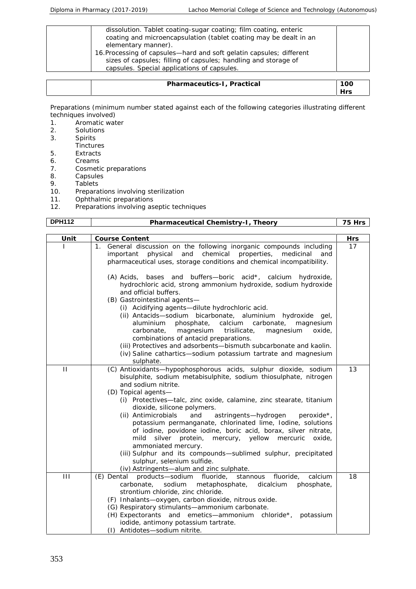| dissolution. Tablet coating-sugar coating; film coating, enteric<br>coating and microencapsulation (tablet coating may be dealt in an<br>elementary manner). |  |
|--------------------------------------------------------------------------------------------------------------------------------------------------------------|--|
| 16. Processing of capsules—hard and soft gelatin capsules; different<br>sizes of capsules; filling of capsules; handling and storage of                      |  |
| capsules. Special applications of capsules.                                                                                                                  |  |

| 「<br>,,<br>C.d | 'OC                  |
|----------------|----------------------|
|                | $\sim$ $\sim$ $\sim$ |

Preparations (minimum number stated against each of the following categories illustrating different techniques involved)<br>1. Aromatic wat

- 1. Aromatic water<br>2. Solutions
- 2. Solutions<br>3. Spirits
- **Spirits**
- **Tinctures**
- 5. Extracts 6. Creams
- 7. Cosmetic preparations
- 
- 8. Capsules<br>9. Tablets
- 9. Tablets<br>10. Prepara 10. Preparations involving sterilization<br>11. Ophthalmic preparations
- 11. Ophthalmic preparations<br>12. Preparations involving as
- Preparations involving aseptic techniques

| <b>DPH112</b> | Pharmaceutical Chemistry-I, Theory                                                                                                                                                                                                                                                                                                                                                                                                                                                                                                                                                                                                                                                                                                                                                  | 75 Hrs |
|---------------|-------------------------------------------------------------------------------------------------------------------------------------------------------------------------------------------------------------------------------------------------------------------------------------------------------------------------------------------------------------------------------------------------------------------------------------------------------------------------------------------------------------------------------------------------------------------------------------------------------------------------------------------------------------------------------------------------------------------------------------------------------------------------------------|--------|
|               |                                                                                                                                                                                                                                                                                                                                                                                                                                                                                                                                                                                                                                                                                                                                                                                     |        |
| Unit          | Course Content                                                                                                                                                                                                                                                                                                                                                                                                                                                                                                                                                                                                                                                                                                                                                                      | Hrs    |
|               | 1. General discussion on the following inorganic compounds including<br>and<br>chemical properties,<br>physical<br>medicinal<br>important<br>and<br>pharmaceutical uses, storage conditions and chemical incompatibility.<br>(A) Acids, bases and buffers-boric acid*, calcium hydroxide,<br>hydrochloric acid, strong ammonium hydroxide, sodium hydroxide<br>and official buffers.<br>(B) Gastrointestinal agents-<br>(i) Acidifying agents-dilute hydrochloric acid.<br>(ii) Antacids-sodium bicarbonate, aluminium hydroxide gel,<br>calcium carbonate,<br>aluminium<br>phosphate,<br>magnesium<br>carbonate,<br>magnesium<br>trisilicate,<br>oxide,<br>magnesium<br>combinations of antacid preparations.<br>(iii) Protectives and adsorbents-bismuth subcarbonate and kaolin. | 17     |
|               | (iv) Saline cathartics-sodium potassium tartrate and magnesium<br>sulphate.                                                                                                                                                                                                                                                                                                                                                                                                                                                                                                                                                                                                                                                                                                         |        |
| $\mathbf{H}$  | (C) Antioxidants-hypophosphorous acids, sulphur dioxide, sodium<br>bisulphite, sodium metabisulphite, sodium thiosulphate, nitrogen<br>and sodium nitrite.<br>(D) Topical agents-<br>(i) Protectives-talc, zinc oxide, calamine, zinc stearate, titanium<br>dioxide, silicone polymers.<br>(ii) Antimicrobials<br>and<br>astringents-hydrogen<br>peroxide*,<br>potassium permanganate, chlorinated lime, Iodine, solutions<br>of iodine, povidone iodine, boric acid, borax, silver nitrate,<br>mild<br>silver protein,<br>mercury, yellow mercuric<br>oxide,<br>ammoniated mercury.<br>(iii) Sulphur and its compounds-sublimed sulphur, precipitated<br>sulphur, selenium sulfide.<br>(iv) Astringents-alum and zinc sulphate.                                                    | 13     |
| $\mathbf{H}$  | products-sodium fluoride,<br>stannous fluoride,<br>calcium<br>(E) Dental<br>carbonate,<br>sodium<br>metaphosphate,<br>dicalcium<br>phosphate,<br>strontium chloride, zinc chloride.<br>(F) Inhalants-oxygen, carbon dioxide, nitrous oxide.<br>(G) Respiratory stimulants-ammonium carbonate.<br>(H) Expectorants and emetics—ammonium chloride*,<br>potassium<br>iodide, antimony potassium tartrate.<br>(I) Antidotes-sodium nitrite.                                                                                                                                                                                                                                                                                                                                             | 18     |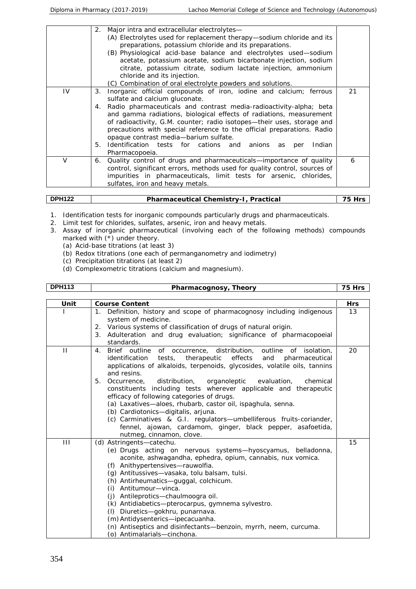|        | 2. Major intra and extracellular electrolytes-<br>(A) Electrolytes used for replacement therapy-sodium chloride and its<br>preparations, potassium chloride and its preparations.<br>(B) Physiological acid-base balance and electrolytes used-sodium<br>acetate, potassium acetate, sodium bicarbonate injection, sodium<br>citrate, potassium citrate, sodium lactate injection, ammonium<br>chloride and its injection.<br>(C) Combination of oral electrolyte powders and solutions.                                                       |    |
|--------|------------------------------------------------------------------------------------------------------------------------------------------------------------------------------------------------------------------------------------------------------------------------------------------------------------------------------------------------------------------------------------------------------------------------------------------------------------------------------------------------------------------------------------------------|----|
| IV.    | Inorganic official compounds of iron, iodine and calcium; ferrous<br>3.<br>sulfate and calcium gluconate.<br>Radio pharmaceuticals and contrast media-radioactivity-alpha; beta<br>4.<br>and gamma radiations, biological effects of radiations, measurement<br>of radioactivity, G.M. counter; radio isotopes-their uses, storage and<br>precautions with special reference to the official preparations. Radio<br>opaque contrast media-barium sulfate.<br>5. Identification tests for cations and anions as per<br>Indian<br>Pharmacopoeia. | 21 |
| $\vee$ | 6. Quality control of drugs and pharmaceuticals-importance of quality<br>control, significant errors, methods used for quality control, sources of<br>impurities in pharmaceuticals, limit tests for arsenic, chlorides,<br>sulfates, iron and heavy metals.                                                                                                                                                                                                                                                                                   | 6  |

|  | 14 O.C<br><b>DP</b><br>. | $\cdot$ $\cdot$ $\cdot$ $\cdot$<br>$\sim$<br>$\overline{\phantom{a}}$<br>Ρr<br>une<br>Ca'<br>-<br>⊸<br>:0- | - |
|--|--------------------------|------------------------------------------------------------------------------------------------------------|---|
|--|--------------------------|------------------------------------------------------------------------------------------------------------|---|

- 1. Identification tests for inorganic compounds particularly drugs and pharmaceuticals.
- 2. Limit test for chlorides, sulfates, arsenic, iron and heavy metals.
- 3. Assay of inorganic pharmaceutical (involving each of the following methods) compounds marked with (\*) under theory.
	- (a) Acid-base titrations (at least 3)
	- (b) Redox titrations (one each of permanganometry and iodimetry)
	- (c) Precipitation titrations (at least 2)
	- (d) Complexometric titrations (calcium and magnesium).

| <b>DPH113</b><br>'heorv<br>Pharmacognosy. | --<br>- rc<br>. . |  |
|-------------------------------------------|-------------------|--|
|-------------------------------------------|-------------------|--|

| Unit         | Course Content                                                                                                                                                                                                                                                                                                                                                                                                                                                                                                                                                                                                                                                                                                  | Hrs |
|--------------|-----------------------------------------------------------------------------------------------------------------------------------------------------------------------------------------------------------------------------------------------------------------------------------------------------------------------------------------------------------------------------------------------------------------------------------------------------------------------------------------------------------------------------------------------------------------------------------------------------------------------------------------------------------------------------------------------------------------|-----|
|              | Definition, history and scope of pharmacognosy including indigenous<br>$1_{\cdot}$<br>system of medicine.<br>2. Various systems of classification of drugs of natural origin.<br>3. Adulteration and drug evaluation; significance of pharmacopoeial<br>standards.                                                                                                                                                                                                                                                                                                                                                                                                                                              | 13  |
| $\mathbf{H}$ | Brief outline of occurrence, distribution, outline of isolation,<br>4.<br>identification tests, therapeutic effects<br>and<br>pharmaceutical<br>applications of alkaloids, terpenoids, glycosides, volatile oils, tannins<br>and resins.<br>5. Occurrence,<br>distribution,<br>organoleptic<br>evaluation,<br>chemical<br>constituents including tests wherever applicable and therapeutic<br>efficacy of following categories of drugs.<br>(a) Laxatives-aloes, rhubarb, castor oil, ispaghula, senna.<br>(b) Cardiotonics-digitalis, arjuna.<br>(c) Carminatives & G.I. regulators-umbelliferous fruits-coriander,<br>fennel, ajowan, cardamom, ginger, black pepper, asafoetida,<br>nutmeg, cinnamon, clove. | 20  |
| Ш            | (d) Astringents-catechu.<br>(e) Drugs acting on nervous systems—hyoscyamus, belladonna,<br>aconite, ashwagandha, ephedra, opium, cannabis, nux vomica.<br>(f) Anithypertensives-rauwolfia.<br>(g) Antitussives-vasaka, tolu balsam, tulsi.<br>(h) Antirheumatics-guggal, colchicum.<br>Antitumour-vinca.<br>(i)<br>(j) Antileprotics-chaulmoogra oil.<br>(k) Antidiabetics-pterocarpus, gymnema sylvestro.<br>Diuretics-gokhru, punarnava.<br>(1)<br>(m) Antidysenterics-ipecacuanha.<br>(n) Antiseptics and disinfectants-benzoin, myrrh, neem, curcuma.<br>(o) Antimalarials-cinchona.                                                                                                                        | 15  |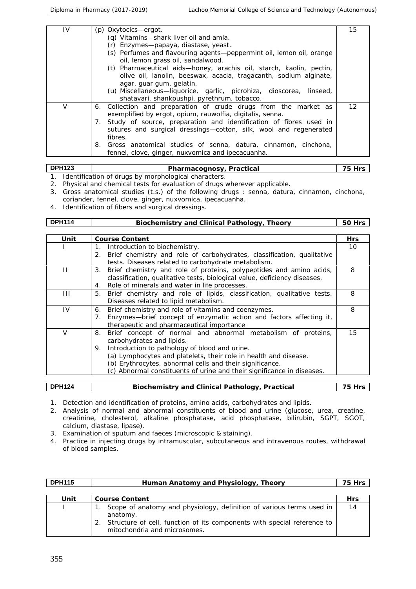| IV | (p) Oxytocics—ergot.                                                                                                                              | 15 |
|----|---------------------------------------------------------------------------------------------------------------------------------------------------|----|
|    | (q) Vitamins-shark liver oil and amla.                                                                                                            |    |
|    | (r) Enzymes-papaya, diastase, yeast.                                                                                                              |    |
|    | (s) Perfumes and flavouring agents—peppermint oil, lemon oil, orange<br>oil, lemon grass oil, sandalwood.                                         |    |
|    | (t) Pharmaceutical aids-honey, arachis oil, starch, kaolin, pectin,<br>olive oil, lanolin, beeswax, acacia, tragacanth, sodium alginate,          |    |
|    | agar, guar gum, gelatin.                                                                                                                          |    |
|    | (u) Miscellaneous-liquorice, garlic, picrohiza, dioscorea, linseed,<br>shatavari, shankpushpi, pyrethrum, tobacco.                                |    |
|    | 6. Collection and preparation of crude drugs from the market as<br>exemplified by ergot, opium, rauwolfia, digitalis, senna.                      | 12 |
| 7. | Study of source, preparation and identification of fibres used in<br>sutures and surgical dressings-cotton, silk, wool and regenerated<br>fibres. |    |
| 8. | Gross anatomical studies of senna, datura, cinnamon, cinchona,                                                                                    |    |
|    | fennel, clove, ginger, nuxvomica and ipecacuanha.                                                                                                 |    |

| <b>DPH123</b> | Pharmacognosy, Practical                             |  |
|---------------|------------------------------------------------------|--|
|               | Identification of drugs by morphological characters. |  |

- 2. Physical and chemical tests for evaluation of drugs wherever applicable. 3. Gross anatomical studies (t.s.) of the following drugs : senna, datura, cinnamon, cinchona, coriander, fennel, clove, ginger, nuxvomica, ipecacuanha.
- 4. Identification of fibers and surgical dressings.

| <b>DPH114</b> | Biochemistry and Clinical Pathology, Theory                                                                                                                                                                                                                | 50 Hrs     |
|---------------|------------------------------------------------------------------------------------------------------------------------------------------------------------------------------------------------------------------------------------------------------------|------------|
|               |                                                                                                                                                                                                                                                            |            |
| Unit          | Course Content                                                                                                                                                                                                                                             | <b>Hrs</b> |
|               | Introduction to biochemistry.<br>1.                                                                                                                                                                                                                        | 10         |
|               | 2. Brief chemistry and role of carbohydrates, classification, qualitative<br>tests. Diseases related to carbohydrate metabolism.                                                                                                                           |            |
| $\mathbf{H}$  | 3. Brief chemistry and role of proteins, polypeptides and amino acids,<br>classification, qualitative tests, biological value, deficiency diseases.                                                                                                        | 8          |
|               | Role of minerals and water in life processes.<br>4.                                                                                                                                                                                                        |            |
| $\mathbf{H}$  | 5. Brief chemistry and role of lipids, classification, qualitative tests.<br>Diseases related to lipid metabolism.                                                                                                                                         | 8          |
| IV            | Brief chemistry and role of vitamins and coenzymes.<br>6.<br>Enzymes-brief concept of enzymatic action and factors affecting it,<br>7.<br>therapeutic and pharmaceutical importance                                                                        | 8          |
| $\vee$        | Brief concept of normal and abnormal metabolism of proteins,<br>8.<br>carbohydrates and lipids.                                                                                                                                                            | 15         |
|               | 9. Introduction to pathology of blood and urine.<br>(a) Lymphocytes and platelets, their role in health and disease.<br>(b) Erythrocytes, abnormal cells and their significance.<br>(c) Abnormal constituents of urine and their significance in diseases. |            |

| <b>DPH124</b> | hemistry and Clinical Pathology, Practical<br>sinci |  |
|---------------|-----------------------------------------------------|--|

1. Detection and identification of proteins, amino acids, carbohydrates and lipids.

- 2. Analysis of normal and abnormal constituents of blood and urine (glucose, urea, creatine, creatinine, cholesterol, alkaline phosphatase, acid phosphatase, bilirubin, SGPT, SGOT, calcium, diastase, lipase).
- 3. Examination of sputum and faeces (microscopic & staining).
- 4. Practice in injecting drugs by intramuscular, subcutaneous and intravenous routes, withdrawal of blood samples.

| <b>DPH115</b> | Human Anatomy and Physiology, Theory                                                                                                                                                           | 75 Hrs     |
|---------------|------------------------------------------------------------------------------------------------------------------------------------------------------------------------------------------------|------------|
|               |                                                                                                                                                                                                |            |
| Unit          | Course Content                                                                                                                                                                                 | <b>Hrs</b> |
|               | Scope of anatomy and physiology, definition of various terms used in<br>anatomy.<br>2. Structure of cell, function of its components with special reference to<br>mitochondria and microsomes. | 14         |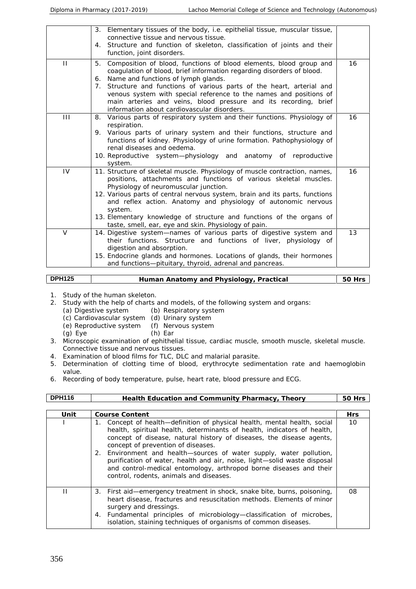|                | 3. Elementary tissues of the body, i.e. epithelial tissue, muscular tissue,<br>connective tissue and nervous tissue.                                                                                                                            |    |
|----------------|-------------------------------------------------------------------------------------------------------------------------------------------------------------------------------------------------------------------------------------------------|----|
|                | 4. Structure and function of skeleton, classification of joints and their<br>function, joint disorders.                                                                                                                                         |    |
| $\mathbf{H}$   | 5.<br>Composition of blood, functions of blood elements, blood group and<br>coagulation of blood, brief information regarding disorders of blood.                                                                                               | 16 |
|                | 6. Name and functions of lymph glands.<br>7. Structure and functions of various parts of the heart, arterial and                                                                                                                                |    |
|                | venous system with special reference to the names and positions of<br>main arteries and veins, blood pressure and its recording, brief<br>information about cardiovascular disorders.                                                           |    |
| $\mathbf{III}$ | 8. Various parts of respiratory system and their functions. Physiology of<br>respiration.                                                                                                                                                       | 16 |
|                | 9. Various parts of urinary system and their functions, structure and<br>functions of kidney. Physiology of urine formation. Pathophysiology of<br>renal diseases and oedema.<br>10. Reproductive system-physiology and anatomy of reproductive |    |
| IV             | system.                                                                                                                                                                                                                                         | 16 |
|                | 11. Structure of skeletal muscle. Physiology of muscle contraction, names,<br>positions, attachments and functions of various skeletal muscles.<br>Physiology of neuromuscular junction.                                                        |    |
|                | 12. Various parts of central nervous system, brain and its parts, functions<br>and reflex action. Anatomy and physiology of autonomic nervous<br>system.                                                                                        |    |
|                | 13. Elementary knowledge of structure and functions of the organs of<br>taste, smell, ear, eye and skin. Physiology of pain.                                                                                                                    |    |
| $\vee$         | 14. Digestive system-names of various parts of digestive system and<br>their functions. Structure and functions of liver, physiology of<br>digestion and absorption.                                                                            | 13 |
|                | 15. Endocrine glands and hormones. Locations of glands, their hormones<br>and functions-pituitary, thyroid, adrenal and pancreas.                                                                                                               |    |

| <b>DPH125</b> | Practical<br>. Anatomy and Physiology.<br>luman<br>. |  |
|---------------|------------------------------------------------------|--|
|---------------|------------------------------------------------------|--|

- 1. Study of the human skeleton.
- 2. Study with the help of charts and models, of the following system and organs:<br>(a) Digestive system (b) Respiratory system
	- (b) Respiratory system
	- (c) Cardiovascular system (d) Urinary system
	- (e) Reproductive system (f) Nervous system
	- (g) Eye (h) Ear
- 3. Microscopic examination of ephithelial tissue, cardiac muscle, smooth muscle, skeletal muscle. Connective tissue and nervous tissues.
- 4. Examination of blood films for TLC, DLC and malarial parasite.
- 5. Determination of clotting time of blood, erythrocyte sedimentation rate and haemoglobin value.
- 6. Recording of body temperature, pulse, heart rate, blood pressure and ECG.

| <b>DPH116</b> | Health Education and Community Pharmacy, Theory                                                                                                                                                                                                                                                                                                                                                                                                                                                                                        | <b>50 Hrs</b> |
|---------------|----------------------------------------------------------------------------------------------------------------------------------------------------------------------------------------------------------------------------------------------------------------------------------------------------------------------------------------------------------------------------------------------------------------------------------------------------------------------------------------------------------------------------------------|---------------|
| Unit          | Course Content                                                                                                                                                                                                                                                                                                                                                                                                                                                                                                                         | <b>Hrs</b>    |
|               | 1. Concept of health—definition of physical health, mental health, social<br>health, spiritual health, determinants of health, indicators of health,<br>concept of disease, natural history of diseases, the disease agents,<br>concept of prevention of diseases.<br>2. Environment and health-sources of water supply, water pollution,<br>purification of water, health and air, noise, light-solid waste disposal<br>and control-medical entomology, arthropod borne diseases and their<br>control, rodents, animals and diseases. | 10            |
| П             | 3. First aid—emergency treatment in shock, snake bite, burns, poisoning,<br>heart disease, fractures and resuscitation methods. Elements of minor<br>surgery and dressings.<br>4. Fundamental principles of microbiology-classification of microbes,<br>isolation, staining techniques of organisms of common diseases.                                                                                                                                                                                                                | 08            |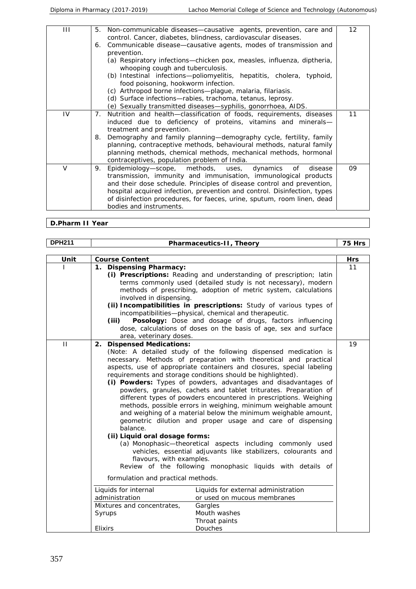| Ш      | Non-communicable diseases-causative agents, prevention, care and<br>5.<br>control. Cancer, diabetes, blindness, cardiovascular diseases.                                                                                                                                                                                                                                                          | 12 |
|--------|---------------------------------------------------------------------------------------------------------------------------------------------------------------------------------------------------------------------------------------------------------------------------------------------------------------------------------------------------------------------------------------------------|----|
|        | 6. Communicable disease-causative agents, modes of transmission and<br>prevention.                                                                                                                                                                                                                                                                                                                |    |
|        | (a) Respiratory infections-chicken pox, measles, influenza, diptheria,<br>whooping cough and tuberculosis.                                                                                                                                                                                                                                                                                        |    |
|        | (b) Intestinal infections-poliomyelitis, hepatitis, cholera, typhoid,<br>food poisoning, hookworm infection.                                                                                                                                                                                                                                                                                      |    |
|        | (c) Arthropod borne infections-plague, malaria, filariasis.                                                                                                                                                                                                                                                                                                                                       |    |
|        | (d) Surface infections-rabies, trachoma, tetanus, leprosy.<br>(e) Sexually transmitted diseases—syphilis, gonorrhoea, AIDS.                                                                                                                                                                                                                                                                       |    |
| IV     | Nutrition and health—classification of foods, requirements, diseases<br>7.<br>induced due to deficiency of proteins, vitamins and minerals-<br>treatment and prevention.                                                                                                                                                                                                                          | 11 |
|        | Demography and family planning-demography cycle, fertility, family<br>8.<br>planning, contraceptive methods, behavioural methods, natural family<br>planning methods, chemical methods, mechanical methods, hormonal<br>contraceptives, population problem of India.                                                                                                                              |    |
| $\vee$ | Epidemiology-scope, methods, uses, dynamics<br>9.<br>of<br>disease<br>transmission, immunity and immunisation, immunological products<br>and their dose schedule. Principles of disease control and prevention,<br>hospital acquired infection, prevention and control. Disinfection, types<br>of disinfection procedures, for faeces, urine, sputum, room linen, dead<br>bodies and instruments. | 09 |

**D.Pharm II Year**

| <b>DPH211</b> | Pharmaceutics-II, Theory                                                                                                                                                                                                                                                                                                                                                                                                                                                                                                                                                                                                                                                                                                                                                                                                                                                                                                                                                                                 | 75 Hrs     |
|---------------|----------------------------------------------------------------------------------------------------------------------------------------------------------------------------------------------------------------------------------------------------------------------------------------------------------------------------------------------------------------------------------------------------------------------------------------------------------------------------------------------------------------------------------------------------------------------------------------------------------------------------------------------------------------------------------------------------------------------------------------------------------------------------------------------------------------------------------------------------------------------------------------------------------------------------------------------------------------------------------------------------------|------------|
|               |                                                                                                                                                                                                                                                                                                                                                                                                                                                                                                                                                                                                                                                                                                                                                                                                                                                                                                                                                                                                          |            |
| Unit          | Course Content                                                                                                                                                                                                                                                                                                                                                                                                                                                                                                                                                                                                                                                                                                                                                                                                                                                                                                                                                                                           | <b>Hrs</b> |
|               | <b>Dispensing Pharmacy:</b><br>1.<br>(i) Prescriptions: Reading and understanding of prescription; latin<br>terms commonly used (detailed study is not necessary), modern<br>methods of prescribing, adoption of metric system, calculations<br>involved in dispensing.<br>(ii) Incompatibilities in prescriptions: Study of various types of<br>incompatibilities-physical, chemical and therapeutic.<br>Posology: Dose and dosage of drugs, factors influencing<br>(iii)<br>dose, calculations of doses on the basis of age, sex and surface<br>area, veterinary doses.                                                                                                                                                                                                                                                                                                                                                                                                                                | 11         |
| $\mathbf{H}$  | <b>Dispensed Medications:</b><br>2.<br>(Note: A detailed study of the following dispensed medication is<br>necessary. Methods of preparation with theoretical and practical<br>aspects, use of appropriate containers and closures, special labeling<br>requirements and storage conditions should be highlighted).<br>(i) Powders: Types of powders, advantages and disadvantages of<br>powders, granules, cachets and tablet triturates. Preparation of<br>different types of powders encountered in prescriptions. Weighing<br>methods, possible errors in weighing, minimum weighable amount<br>and weighing of a material below the minimum weighable amount,<br>geometric dilution and proper usage and care of dispensing<br>balance.<br>(ii) Liquid oral dosage forms:<br>(a) Monophasic-theoretical aspects including commonly used<br>vehicles, essential adjuvants like stabilizers, colourants and<br>flavours, with examples.<br>Review of the following monophasic liquids with details of | 19         |
|               | formulation and practical methods.                                                                                                                                                                                                                                                                                                                                                                                                                                                                                                                                                                                                                                                                                                                                                                                                                                                                                                                                                                       |            |
|               | Liquids for external administration<br>Liquids for internal<br>administration<br>or used on mucous membranes<br>Mixtures and concentrates,<br>Gargles<br>Mouth washes<br>Syrups<br>Throat paints<br>Douches<br>Elixirs                                                                                                                                                                                                                                                                                                                                                                                                                                                                                                                                                                                                                                                                                                                                                                                   |            |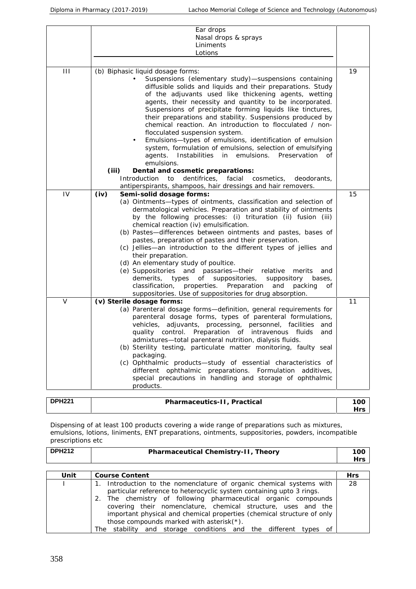|        | Ear drops                                                                 |    |
|--------|---------------------------------------------------------------------------|----|
|        | Nasal drops & sprays                                                      |    |
|        | Liniments                                                                 |    |
|        | Lotions                                                                   |    |
|        |                                                                           |    |
| Ш      | (b) Biphasic liquid dosage forms:                                         | 19 |
|        | Suspensions (elementary study)-suspensions containing                     |    |
|        | diffusible solids and liquids and their preparations. Study               |    |
|        | of the adjuvants used like thickening agents, wetting                     |    |
|        | agents, their necessity and quantity to be incorporated.                  |    |
|        | Suspensions of precipitate forming liquids like tinctures,                |    |
|        | their preparations and stability. Suspensions produced by                 |    |
|        | chemical reaction. An introduction to flocculated / non-                  |    |
|        | flocculated suspension system.                                            |    |
|        | Emulsions-types of emulsions, identification of emulsion<br>٠             |    |
|        | system, formulation of emulsions, selection of emulsifying                |    |
|        | agents. Instabilities in emulsions. Preservation<br>of                    |    |
|        | emulsions.                                                                |    |
|        | (iii)<br>Dental and cosmetic preparations:                                |    |
|        | Introduction<br>dentifrices,<br>facial<br>to<br>cosmetics,<br>deodorants, |    |
|        | antiperspirants, shampoos, hair dressings and hair removers.              |    |
| IV     | Semi-solid dosage forms:<br>(iv)                                          | 15 |
|        | (a) Ointments-types of ointments, classification and selection of         |    |
|        | dermatological vehicles. Preparation and stability of ointments           |    |
|        | by the following processes: (i) trituration (ii) fusion (iii)             |    |
|        | chemical reaction (iv) emulsification.                                    |    |
|        | (b) Pastes-differences between ointments and pastes, bases of             |    |
|        | pastes, preparation of pastes and their preservation.                     |    |
|        | (c) Jellies-an introduction to the different types of jellies and         |    |
|        | their preparation.                                                        |    |
|        | (d) An elementary study of poultice.                                      |    |
|        | (e) Suppositories and passaries-their relative<br>merits<br>and           |    |
|        | demerits,<br>types<br>suppositories,<br>suppository<br>of<br>bases,       |    |
|        | classification, properties. Preparation<br>and<br>packing<br>οf           |    |
|        | suppositories. Use of suppositories for drug absorption.                  |    |
| $\vee$ | (v) Sterile dosage forms:                                                 | 11 |
|        | (a) Parenteral dosage forms-definition, general requirements for          |    |
|        | parenteral dosage forms, types of parenteral formulations,                |    |
|        | vehicles, adjuvants, processing, personnel, facilities and                |    |
|        | quality control. Preparation of intravenous fluids<br>and                 |    |
|        | admixtures-total parenteral nutrition, dialysis fluids.                   |    |
|        | (b) Sterility testing, particulate matter monitoring, faulty seal         |    |
|        | packaging.                                                                |    |
|        | (c) Ophthalmic products-study of essential characteristics of             |    |
|        | different ophthalmic preparations. Formulation additives,                 |    |
|        | special precautions in handling and storage of ophthalmic                 |    |
|        | products.                                                                 |    |
|        |                                                                           |    |

| DDU224 | –<br>'ica.<br>Practi<br>$\lambda$<br>$\sim$<br>$\sim$ $\sim$ $\sim$<br>.<br>121<br>$\mathbf{H}$<br>⊶<br>.<br>1 L<br>$ -$ | 100          |  |
|--------|--------------------------------------------------------------------------------------------------------------------------|--------------|--|
|        |                                                                                                                          | ⊣re∼<br>ر… ا |  |
|        |                                                                                                                          |              |  |

Dispensing of at least 100 products covering a wide range of preparations such as mixtures, emulsions, lotions, liniments, ENT preparations, ointments, suppositories, powders, incompatible prescriptions etc

| <b>DPH212</b> | Pharmaceutical Chemistry-II<br>Theorv | 100 |  |
|---------------|---------------------------------------|-----|--|
|               |                                       | $-$ |  |

| Unit | Course Content                                                                                                                                                                                                                                                                                                                                                                                            | <b>Hrs</b> |
|------|-----------------------------------------------------------------------------------------------------------------------------------------------------------------------------------------------------------------------------------------------------------------------------------------------------------------------------------------------------------------------------------------------------------|------------|
|      | 1. Introduction to the nomenclature of organic chemical systems with<br>particular reference to heterocyclic system containing upto 3 rings.<br>2. The chemistry of following pharmaceutical organic compounds<br>covering their nomenclature, chemical structure, uses and the<br>important physical and chemical properties (chemical structure of only<br>those compounds marked with asterisk $(*)$ . | 28         |
|      | The stability and storage conditions and the different types of                                                                                                                                                                                                                                                                                                                                           |            |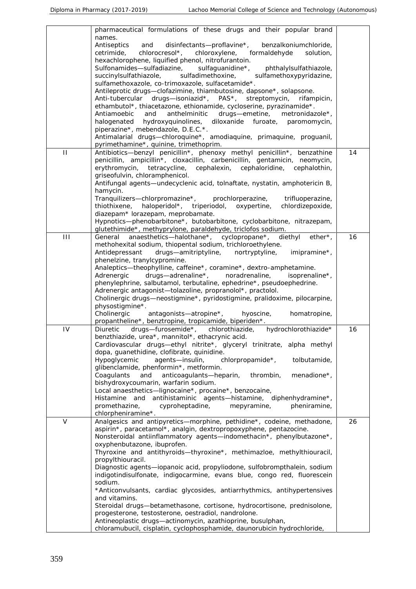|              | pharmaceutical formulations of these drugs and their popular brand           |    |
|--------------|------------------------------------------------------------------------------|----|
|              | names.                                                                       |    |
|              | Antiseptics<br>disinfectants-proflavine*,<br>benzalkoniumchloride,<br>and    |    |
|              | chlorocresol*,<br>chloroxylene,<br>formaldehyde<br>solution,<br>cetrimide,   |    |
|              | hexachlorophene, liquified phenol, nitrofurantoin.                           |    |
|              | Sulfonamides-sulfadiazine,<br>sulfaguanidine*,<br>phthalylsulfathiazole,     |    |
|              | sulfadimethoxine,<br>sulfamethoxypyridazine,<br>succinylsulfathiazole,       |    |
|              | sulfamethoxazole, co-trimoxazole, sulfacetamide*.                            |    |
|              | Antileprotic drugs-clofazimine, thiambutosine, dapsone*, solapsone.          |    |
|              | Anti-tubercular drugs-isoniazid*, PAS*, streptomycin,<br>rifampicin,         |    |
|              | ethambutol*, thiacetazone, ethionamide, cycloserine, pyrazinamide*.          |    |
|              | Antiamoebic<br>and<br>anthelminitic<br>drugs-emetine,<br>metronidazole*,     |    |
|              | hydroxyquinolines, diloxanide furoate, paromomycin,<br>halogenated           |    |
|              | piperazine*, mebendazole, D.E.C.*.                                           |    |
|              | Antimalarial drugs-chloroquine*, amodiaquine, primaquine, proguanil,         |    |
|              | pyrimethamine*, quinine, trimethoprim.                                       |    |
| $\mathbf{H}$ | Antibiotics—benzyl penicillin*, phenoxy methyl penicillin*, benzathine       | 14 |
|              | penicillin, ampicillin*, cloxacillin, carbenicillin, gentamicin, neomycin,   |    |
|              | erythromycin, tetracycline,<br>cephalexin, cephaloridine, cephalothin,       |    |
|              | griseofulvin, chloramphenicol.                                               |    |
|              | Antifungal agents—undecyclenic acid, tolnaftate, nystatin, amphotericin B,   |    |
|              | hamycin.                                                                     |    |
|              | Tranquilizers-chlorpromazine*, prochlorperazine,<br>trifluoperazine,         |    |
|              | haloperidol*, triperiodol, oxypertine,<br>chlordizepoxide,<br>thiothixene,   |    |
|              | diazepam* lorazepam, meprobamate.                                            |    |
|              | Hypnotics-phenobarbitone*, butobarbitone, cyclobarbitone, nitrazepam,        |    |
|              | glutethimide*, methyprylone, paraldehyde, triclofos sodium.                  |    |
| Ш            | anaesthetics—halothane*, cyclopropane*,<br>diethyl<br>$ether^*$ ,<br>General | 16 |
|              | methohexital sodium, thiopental sodium, trichloroethylene.                   |    |
|              | Antidepressant<br>drugs-amitriptyline,<br>nortryptyline,<br>imipramine*,     |    |
|              | phenelzine, tranylcypromine.                                                 |    |
|              | Analeptics-theophylline, caffeine*, coramine*, dextro-amphetamine.           |    |
|              | drugs-adrenaline*,<br>noradrenaline,<br>isoprenaline*,<br>Adrenergic         |    |
|              | phenylephrine, salbutamol, terbutaline, ephedrine*, pseudoephedrine.         |    |
|              | Adrenergic antagonist-tolazoline, propranolol*, practolol.                   |    |
|              | Cholinergic drugs-neostigmine*, pyridostigmine, pralidoxime, pilocarpine,    |    |
|              | physostigmine*.                                                              |    |
|              | Cholinergic<br>antagonists-atropine*,<br>hyoscine,<br>homatropine,           |    |
|              | propantheline*, benztropine, tropicamide, biperiden*.                        |    |
| IV           | drugs-furosemide*, chlorothiazide,<br>hydrochlorothiazide*<br>Diuretic       | 16 |
|              | benzthiazide, urea*, mannitol*, ethacrynic acid.                             |    |
|              | Cardiovascular drugs—ethyl nitrite*, glyceryl trinitrate, alpha methyl       |    |
|              | dopa, guanethidine, clofibrate, quinidine.                                   |    |
|              | agents-insulin,<br>chlorpropamide*,<br>tolbutamide,<br>Hypoglycemic          |    |
|              | glibenclamide, phenformin*, metformin.                                       |    |
|              | anticoagulants-heparin,<br>Coagulants<br>and<br>thrombin,<br>menadione*,     |    |
|              | bishydroxycoumarin, warfarin sodium.                                         |    |
|              | Local anaesthetics-lignocaine*, procaine*, benzocaine,                       |    |
|              | Histamine and antihistaminic agents—histamine, diphenhydramine*,             |    |
|              | promethazine,<br>cyproheptadine,<br>mepyramine,<br>pheniramine,              |    |
|              | chlorpheniramine*.                                                           |    |
| $\vee$       | Analgesics and antipyretics-morphine, pethidine*, codeine, methadone,        | 26 |
|              | aspirin*, paracetamol*, analgin, dextropropoxyphene, pentazocine.            |    |
|              | Nonsteroidal antiinflammatory agents—indomethacin*, phenylbutazone*,         |    |
|              | oxyphenbutazone, ibuprofen.                                                  |    |
|              | Thyroxine and antithyroids—thyroxine*, methimazloe, methylthiouracil,        |    |
|              | propylthiouracil.                                                            |    |
|              | Diagnostic agents-iopanoic acid, propyliodone, sulfobrompthalein, sodium     |    |
|              | indigotindisulfonate, indigocarmine, evans blue, congo red, fluorescein      |    |
|              | sodium.                                                                      |    |
|              | *Anticonvulsants, cardiac glycosides, antiarrhythmics, antihypertensives     |    |
|              | and vitamins.                                                                |    |
|              | Steroidal drugs-betamethasone, cortisone, hydrocortisone, prednisolone,      |    |
|              | progesterone, testosterone, oestradiol, nandrolone.                          |    |
|              | Antineoplastic drugs-actinomycin, azathioprine, busulphan,                   |    |
|              | chloramubucil, cisplatin, cyclophosphamide, daunorubicin hydrochloride,      |    |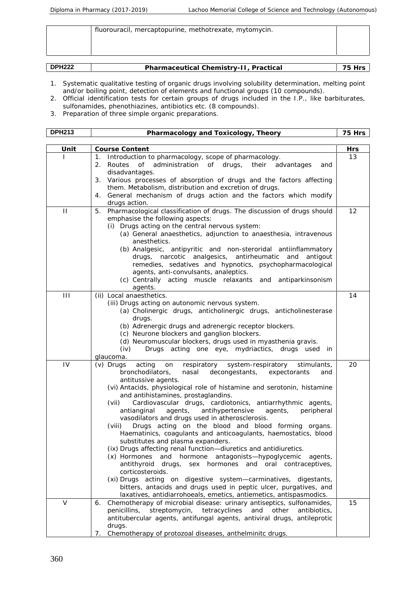|               | fluorouracil, mercaptopurine, methotrexate, mytomycin. |        |
|---------------|--------------------------------------------------------|--------|
|               |                                                        |        |
| <b>DPH222</b> | Pharmaceutical Chemistry-II, Practical                 | 75 Hrs |

|  | <b>DPH222</b><br>TIZZL. | Chemisti<br>$\sim$ + $\sim$ $\sim$ $\sim$<br>ical<br>$.$ ) r $\sim$ $\sim$ $+$<br><u>ы</u><br>Cd I | - -<br>محوال |
|--|-------------------------|----------------------------------------------------------------------------------------------------|--------------|
|--|-------------------------|----------------------------------------------------------------------------------------------------|--------------|

- 1. Systematic qualitative testing of organic drugs involving solubility determination, melting point and/or boiling point, detection of elements and functional groups (10 compounds).
- 2. Official identification tests for certain groups of drugs included in the I.P., like barbiturates, sulfonamides, phenothiazines, antibiotics etc. (8 compounds).
- 3. Preparation of three simple organic preparations.

|                | Pharmacology and Toxicology, Theory                                                                                                                                                                                                                                                                                                                                                                                                                                                                                                                                                                                                                                                                                                                                                                                                                                                                                                                                                                                                        | 75 Hrs |
|----------------|--------------------------------------------------------------------------------------------------------------------------------------------------------------------------------------------------------------------------------------------------------------------------------------------------------------------------------------------------------------------------------------------------------------------------------------------------------------------------------------------------------------------------------------------------------------------------------------------------------------------------------------------------------------------------------------------------------------------------------------------------------------------------------------------------------------------------------------------------------------------------------------------------------------------------------------------------------------------------------------------------------------------------------------------|--------|
|                |                                                                                                                                                                                                                                                                                                                                                                                                                                                                                                                                                                                                                                                                                                                                                                                                                                                                                                                                                                                                                                            |        |
| Unit           | Course Content                                                                                                                                                                                                                                                                                                                                                                                                                                                                                                                                                                                                                                                                                                                                                                                                                                                                                                                                                                                                                             | Hrs    |
|                | Introduction to pharmacology, scope of pharmacology.<br>1.<br>administration of drugs,<br>2. Routes<br>of<br>their<br>advantages<br>and<br>disadvantages.<br>Various processes of absorption of drugs and the factors affecting<br>3.<br>them. Metabolism, distribution and excretion of drugs.<br>General mechanism of drugs action and the factors which modify<br>4.                                                                                                                                                                                                                                                                                                                                                                                                                                                                                                                                                                                                                                                                    | 13     |
|                | drugs action.                                                                                                                                                                                                                                                                                                                                                                                                                                                                                                                                                                                                                                                                                                                                                                                                                                                                                                                                                                                                                              |        |
| $\mathbf{H}$   | Pharmacological classification of drugs. The discussion of drugs should<br>5.<br>emphasise the following aspects:<br>(i) Drugs acting on the central nervous system:<br>(a) General anaesthetics, adjunction to anaesthesia, intravenous<br>anesthetics.<br>(b) Analgesic, antipyritic and non-steroridal antiinflammatory<br>drugs, narcotic analgesics, antirheumatic<br>and<br>antigout<br>remedies, sedatives and hypnotics, psychopharmacological<br>agents, anti-convulsants, analeptics.<br>(c) Centrally acting muscle relaxants and antiparkinsonism<br>agents.                                                                                                                                                                                                                                                                                                                                                                                                                                                                   | 12     |
| $\mathbf{III}$ | (ii) Local anaesthetics.<br>(iii) Drugs acting on autonomic nervous system.<br>(a) Cholinergic drugs, anticholinergic drugs, anticholinesterase<br>drugs.<br>(b) Adrenergic drugs and adrenergic receptor blockers.<br>(c) Neurone blockers and ganglion blockers.<br>(d) Neuromuscular blockers, drugs used in myasthenia gravis.<br>Drugs acting one eye, mydriactics, drugs used in<br>(iv)<br>glaucoma.                                                                                                                                                                                                                                                                                                                                                                                                                                                                                                                                                                                                                                | 14     |
| IV             | $(v)$ Drugs<br>acting<br>respiratory<br>system-respiratory<br>stimulants,<br>on<br>bronchodilators,<br>nasal<br>decongestants,<br>expectorants<br>and<br>antitussive agents.<br>(vi) Antacids, physiological role of histamine and serotonin, histamine<br>and antihistamines, prostaglandins.<br>Cardiovascular drugs, cardiotonics, antiarrhythmic agents,<br>(vii)<br>antianginal<br>agents,<br>antihypertensive<br>peripheral<br>agents,<br>vasodilators and drugs used in atherosclerosis.<br>Drugs acting on the blood and blood forming organs.<br>(viii)<br>Haematinics, coagulants and anticoagulants, haemostatics, blood<br>substitutes and plasma expanders.<br>(ix) Drugs affecting renal function-diuretics and antidiuretics.<br>(x) Hormones<br>and hormone antagonists-hypoglycemic agents,<br>antithyroid<br>drugs,<br>sex hormones and oral contraceptives,<br>corticosteroids.<br>(xi) Drugs acting on digestive system-carminatives, digestants,<br>bitters, antacids and drugs used in peptic ulcer, purgatives, and | 20     |
|                | laxatives, antidiarrohoeals, emetics, antiemetics, antispasmodics.<br>Chemotherapy of microbial disease: urinary antiseptics, sulfonamides,<br>6.                                                                                                                                                                                                                                                                                                                                                                                                                                                                                                                                                                                                                                                                                                                                                                                                                                                                                          | 15     |
| V              | streptomycin, tetracyclines<br>penicillins,<br>and<br>other<br>antibiotics,<br>antitubercular agents, antifungal agents, antiviral drugs, antileprotic<br>drugs.                                                                                                                                                                                                                                                                                                                                                                                                                                                                                                                                                                                                                                                                                                                                                                                                                                                                           |        |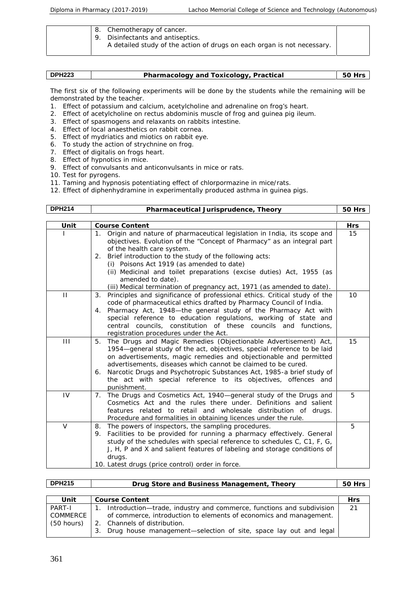|  | 8. Chemotherapy of cancer.<br>9. Disinfectants and antiseptics.<br>A detailed study of the action of drugs on each organ is not necessary. |  |
|--|--------------------------------------------------------------------------------------------------------------------------------------------|--|
|  |                                                                                                                                            |  |

| <b>DPH223</b> | Pharmacology and Toxicology, Practical |  |
|---------------|----------------------------------------|--|

The first six of the following experiments will be done by the students while the remaining will be demonstrated by the teacher.

- 1. Effect of potassium and calcium, acetylcholine and adrenaline on frog's heart.
- 2. Effect of acetylcholine on rectus abdominis muscle of frog and guinea pig ileum.
- 3. Effect of spasmogens and relaxants on rabbits intestine.
- 4. Effect of local anaesthetics on rabbit cornea.
- 5. Effect of mydriatics and miotics on rabbit eye.
- 6. To study the action of strychnine on frog.
- 7. Effect of digitalis on frogs heart.
- 8. Effect of hypnotics in mice.
- 9. Effect of convulsants and anticonvulsants in mice or rats.
- 10. Test for pyrogens.
- 11. Taming and hypnosis potentiating effect of chlorpormazine in mice/rats.
- 12. Effect of diphenhydramine in experimentally produced asthma in guinea pigs.

| <b>DPH214</b> | Pharmaceutical Jurisprudence, Theory                                                                                                                                                                                                                                                                                                                                                                                                                                                     | 50 Hrs     |
|---------------|------------------------------------------------------------------------------------------------------------------------------------------------------------------------------------------------------------------------------------------------------------------------------------------------------------------------------------------------------------------------------------------------------------------------------------------------------------------------------------------|------------|
| Unit          | <b>Course Content</b>                                                                                                                                                                                                                                                                                                                                                                                                                                                                    | <b>Hrs</b> |
|               | 1. Origin and nature of pharmaceutical legislation in India, its scope and<br>objectives. Evolution of the "Concept of Pharmacy" as an integral part<br>of the health care system.<br>2. Brief introduction to the study of the following acts:<br>(i) Poisons Act 1919 (as amended to date)<br>(ii) Medicinal and toilet preparations (excise duties) Act, 1955 (as<br>amended to date).                                                                                                | 15         |
| $\mathbf{H}$  | (iii) Medical termination of pregnancy act, 1971 (as amended to date).<br>Principles and significance of professional ethics. Critical study of the<br>3.<br>code of pharmaceutical ethics drafted by Pharmacy Council of India.<br>Pharmacy Act, 1948-the general study of the Pharmacy Act with<br>4.<br>special reference to education regulations, working of state and<br>central councils, constitution of these councils and functions,<br>registration procedures under the Act. | 10         |
| $\mathbf{H}$  | 5. The Drugs and Magic Remedies (Objectionable Advertisement) Act,<br>1954-general study of the act, objectives, special reference to be laid<br>on advertisements, magic remedies and objectionable and permitted<br>advertisements, diseases which cannot be claimed to be cured.<br>Narcotic Drugs and Psychotropic Substances Act, 1985-a brief study of<br>6.<br>the act with special reference to its objectives, offences and<br>punishment.                                      | 15         |
| IV            | 7. The Drugs and Cosmetics Act, 1940—general study of the Drugs and<br>Cosmetics Act and the rules there under. Definitions and salient<br>features related to retail and wholesale distribution of drugs.<br>Procedure and formalities in obtaining licences under the rule.                                                                                                                                                                                                            | 5          |
| V             | 8. The powers of inspectors, the sampling procedures.<br>9. Facilities to be provided for running a pharmacy effectively. General<br>study of the schedules with special reference to schedules C, C1, F, G,<br>J, H, P and X and salient features of labeling and storage conditions of<br>drugs.<br>10. Latest drugs (price control) order in force.                                                                                                                                   | 5          |

| <b>DPH215</b> | Drug Store and Business Management, Theory                             | 50 Hrs     |
|---------------|------------------------------------------------------------------------|------------|
|               |                                                                        |            |
| Unit          | Course Content                                                         | <b>Hrs</b> |
| PART-I        | Introduction-trade, industry and commerce, functions and subdivision   | 21         |
| COMMERCE      | of commerce, introduction to elements of economics and management.     |            |
| (50 hours)    | 2. Channels of distribution.                                           |            |
|               | Drug house management—selection of site, space lay out and legal<br>З. |            |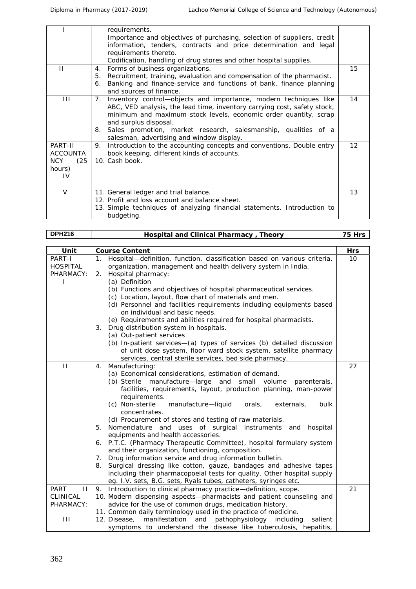|                                                            | requirements.<br>Importance and objectives of purchasing, selection of suppliers, credit<br>information, tenders, contracts and price determination and legal<br>requirements thereto.<br>Codification, handling of drug stores and other hospital supplies.                                                                                                                  |    |
|------------------------------------------------------------|-------------------------------------------------------------------------------------------------------------------------------------------------------------------------------------------------------------------------------------------------------------------------------------------------------------------------------------------------------------------------------|----|
| $\mathbf{H}$                                               | Forms of business organizations.<br>4.<br>Recruitment, training, evaluation and compensation of the pharmacist.<br>5.<br>Banking and finance-service and functions of bank, finance planning<br>6.<br>and sources of finance.                                                                                                                                                 | 15 |
| $\mathbf{III}$                                             | Inventory control-objects and importance, modern techniques like<br>$7_{\cdot}$<br>ABC, VED analysis, the lead time, inventory carrying cost, safety stock,<br>minimum and maximum stock levels, economic order quantity, scrap<br>and surplus disposal.<br>Sales promotion, market research, salesmanship, qualities of a<br>8.<br>salesman, advertising and window display. | 14 |
| PART-II<br><b>ACCOUNTA</b><br>NCY.<br>(25)<br>hours)<br>IV | Introduction to the accounting concepts and conventions. Double entry<br>9.<br>book keeping, different kinds of accounts.<br>10. Cash book.                                                                                                                                                                                                                                   | 12 |
| $\vee$                                                     | 11. General ledger and trial balance.<br>12. Profit and loss account and balance sheet.<br>13. Simple techniques of analyzing financial statements. Introduction to<br>budgeting.                                                                                                                                                                                             | 13 |

| <b>DPH216</b>               | Hospital and Clinical Pharmacy, Theory                                                                                     | 75 Hrs |
|-----------------------------|----------------------------------------------------------------------------------------------------------------------------|--------|
|                             |                                                                                                                            |        |
| Unit                        | Course Content                                                                                                             | Hrs    |
| PART-I                      | Hospital-definition, function, classification based on various criteria,<br>1.                                             | 10     |
| <b>HOSPITAL</b>             | organization, management and health delivery system in India.                                                              |        |
| PHARMACY:                   | Hospital pharmacy:<br>2.<br>(a) Definition                                                                                 |        |
| I.                          | (b) Functions and objectives of hospital pharmaceutical services.                                                          |        |
|                             | (c) Location, layout, flow chart of materials and men.                                                                     |        |
|                             | (d) Personnel and facilities requirements including equipments based                                                       |        |
|                             | on individual and basic needs.                                                                                             |        |
|                             | (e) Requirements and abilities required for hospital pharmacists.                                                          |        |
|                             | Drug distribution system in hospitals.<br>3.                                                                               |        |
|                             | (a) Out-patient services                                                                                                   |        |
|                             | (b) In-patient services-(a) types of services (b) detailed discussion                                                      |        |
|                             | of unit dose system, floor ward stock system, satellite pharmacy                                                           |        |
|                             | services, central sterile services, bed side pharmacy.                                                                     |        |
| $\mathbf{H}$                | Manufacturing:<br>4.                                                                                                       | 27     |
|                             | (a) Economical considerations, estimation of demand.                                                                       |        |
|                             | (b) Sterile manufacture-large and small volume<br>parenterals,                                                             |        |
|                             | facilities, requirements, layout, production planning, man-power                                                           |        |
|                             | requirements.                                                                                                              |        |
|                             | (c) Non-sterile<br>manufacture-liquid<br>orals,<br>externals,<br>bulk                                                      |        |
|                             | concentrates.                                                                                                              |        |
|                             | (d) Procurement of stores and testing of raw materials.                                                                    |        |
|                             | Nomenclature and uses of surgical instruments and hospital<br>5.                                                           |        |
|                             | equipments and health accessories.                                                                                         |        |
|                             | 6. P.T.C. (Pharmacy Therapeutic Committee), hospital formulary system<br>and their organization, functioning, composition. |        |
|                             | Drug information service and drug information bulletin.<br>7.                                                              |        |
|                             | Surgical dressing like cotton, gauze, bandages and adhesive tapes<br>8.                                                    |        |
|                             | including their pharmacopoeial tests for quality. Other hospital supply                                                    |        |
|                             | eg. I.V. sets, B.G. sets, Ryals tubes, catheters, syringes etc.                                                            |        |
| <b>PART</b><br>$\mathbf{H}$ | 9. Introduction to clinical pharmacy practice-definition, scope.                                                           | 21     |
| <b>CLINICAL</b>             | 10. Modern dispensing aspects-pharmacists and patient counseling and                                                       |        |
| PHARMACY:                   | advice for the use of common drugs, medication history.                                                                    |        |
|                             | 11. Common daily terminology used in the practice of medicine.                                                             |        |
| Ш                           | and<br>pathophysiology including<br>12. Disease,<br>manifestation<br>salient                                               |        |
|                             | symptoms to understand the disease like tuberculosis, hepatitis,                                                           |        |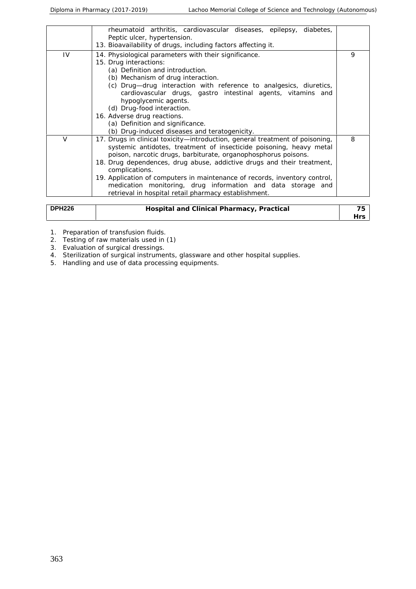|               | rheumatoid arthritis, cardiovascular diseases, epilepsy, diabetes,<br>Peptic ulcer, hypertension.<br>13. Bioavailability of drugs, including factors affecting it.                                                                                                                                                                                                                                                                                                                                                      |                  |
|---------------|-------------------------------------------------------------------------------------------------------------------------------------------------------------------------------------------------------------------------------------------------------------------------------------------------------------------------------------------------------------------------------------------------------------------------------------------------------------------------------------------------------------------------|------------------|
| IV            | 14. Physiological parameters with their significance.<br>15. Drug interactions:<br>(a) Definition and introduction.<br>(b) Mechanism of drug interaction.<br>(c) Drug-drug interaction with reference to analgesics, diuretics,<br>cardiovascular drugs, gastro intestinal agents, vitamins and<br>hypoglycemic agents.<br>(d) Drug-food interaction.<br>16. Adverse drug reactions.<br>(a) Definition and significance.<br>(b) Drug-induced diseases and teratogenicity.                                               | 9                |
| $\vee$        | 17. Drugs in clinical toxicity-introduction, general treatment of poisoning,<br>systemic antidotes, treatment of insecticide poisoning, heavy metal<br>poison, narcotic drugs, barbiturate, organophosphorus poisons.<br>18. Drug dependences, drug abuse, addictive drugs and their treatment,<br>complications.<br>19. Application of computers in maintenance of records, inventory control,<br>medication monitoring, drug information and data storage and<br>retrieval in hospital retail pharmacy establishment. | 8                |
| <b>DPH226</b> | Hospital and Clinical Pharmacy, Practical                                                                                                                                                                                                                                                                                                                                                                                                                                                                               | 75<br><b>Hrs</b> |

1. Preparation of transfusion fluids.

2. Testing of raw materials used in (1)

3. Evaluation of surgical dressings.

4. Sterilization of surgical instruments, glassware and other hospital supplies.

5. Handling and use of data processing equipments.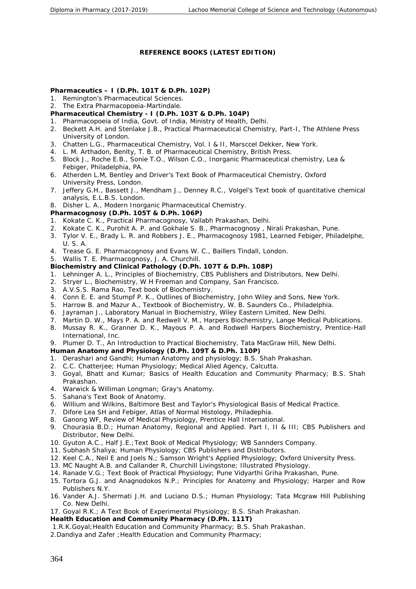#### **REFERENCE BOOKS (LATEST EDITION)**

**Pharmaceutics – I (D.Ph. 101T & D.Ph. 102P)**

- 1. Remington's Pharmaceutical Sciences.
- 2. The Extra Pharmacopoeia-Martindale.
- **Pharmaceutical Chemistry - I (D.Ph. 103T & D.Ph. 104P)**
- 1. Pharmacopoeia of India, Govt. of India, Ministry of Health, Delhi.
- 2. Beckett A.H. and Stenlake J.B., Practical Pharmaceutical Chemistry, Part-I, The Athlene Press University of London.
- 3. Chatten L.G., Pharmaceutical Chemistry, Vol. I & II, Marsccel Dekker, New York.
- 4. L. M. Arthadon, Benlty, T. B. of Pharmaceutical Chemistry, British Press.
- 5. Block J., Roche E.B., Sonie T.O., Wilson C.O., Inorganic Pharmaceutical chemistry, Lea & Febiger, Philadelphia, PA.
- 6. Atherden L.M, Bentley and Driver's Text Book of Pharmaceutical Chemistry, Oxford University Press, London.
- 7. Jeffery G.H., Bassett J., Mendham J., Denney R.C., Volgel's Text book of quantitative chemical analysis, E.L.B.S. London.
- 8. Disher L. A., Modern Inorganic Pharmaceutical Chemistry.
- **Pharmacognosy (D.Ph. 105T & D.Ph. 106P)**
- 1. Kokate C. K., Practical Pharmacognosy, Vallabh Prakashan, Delhi.
- 2. Kokate C. K., Purohit A. P. and Gokhale S. B., Pharmacognosy , Nirali Prakashan, Pune.
- 3. Tylor V. E., Brady L. R. and Robbers J. E., Pharmacognosy 1981, Learned Febiger, Philadelphe, U. S. A.
- 4. Trease G. E. Pharmacognosy and Evans W. C., Baillers Tindall, London.
- 5. Wallis T. E. Pharmacognosy, J. A. Churchill.
- **Biochemistry and Clinical Pathology (D.Ph. 107T & D.Ph. 108P)**
- 1. Lehninger A. L., Principles of Biochemistry, CBS Publishers and Distributors, New Delhi.
- 2. Stryer L., Biochemistry, W H Freeman and Company, San Francisco.
- 3. A.V.S.S. Rama Rao, Text book of Biochemistry.
- 4. Conn E. E. and Stumpf P. K., Outlines of Biochemistry, John Wiley and Sons, New York.
- 5. Harrow B. and Mazur A., Textbook of Biochemistry, W. B. Saunders Co., Philadelphia.
- 6. Jayraman J., Laboratory Manual in Biochemistry, Wiley Eastern Limited, New Delhi.
- 7. Martin D. W., Mays P. A. and Redwell V. M., Harpers Biochemistry, Lange Medical Publications.
- 8. Mussay R. K., Granner D. K., Mayous P. A. and Rodwell Harpers Biochemistry, Prentice-Hall International, Inc.
- 9. Plumer D. T., An Introduction to Practical Biochemistry, Tata MacGraw Hill, New Delhi.
- **Human Anatomy and Physiology (D.Ph. 109T & D.Ph. 110P)**
- 1. Derashari and Gandhi; Human Anatomy and physiology; B.S. Shah Prakashan.
- 2. C.C. Chatterjee; Human Physiology; Medical Alied Agency, Calcutta.
- 3. Goyal, Bhatt and Kumar; Basics of Health Education and Community Pharmacy; B.S. Shah Prakashan.
- 4. Warwick & Williman Longman; Gray's Anatomy.
- 5. Sahana's Text Book of Anatomy.
- 6. Willium and Wilkins, Baltimore Best and Taylor's Physiological Basis of Medical Practice.
- 7. Difore Lea SH and Febiger, Atlas of Normal Histology, Philadephia.
- 8. Ganong WF, Review of Medical Physiology, Prentice Hall International.
- 9. Chourasia B.D.; Human Anatomy, Regional and Applied. Part I, II & III; CBS Publishers and Distributor, New Delhi.
- 10. Gyuton A.C., Half J.E.;Text Book of Medical Physiology; WB Sannders Company.
- 11. Subhash Shaliya; Human Physiology; CBS Publishers and Distributors.
- 12. Keel C.A., Neil E and Joels N.; Samson Wright's Applied Physiology; Oxford University Press.
- 13. MC Naught A.B. and Callander R, Churchill Livingstone; Illustrated Physiology.
- 14. Ranade V.G.; Text Book of Practical Physiology; Pune Vidyarthi Griha Prakashan, Pune.
- 15. Tortora G.J. and Anagnodokos N.P.; Principles for Anatomy and Physiology; Harper and Row Publishers N.Y.
- 16. Vander A.J. Shermati J.H. and Luciano D.S.; Human Physiology; Tata Mcgraw Hill Publishing Co. New Delhi.
- 17. Goyal R.K.; A Text Book of Experimental Physiology; B.S. Shah Prakashan.
- **Health Education and Community Pharmacy (D.Ph. 111T)**
- 1.R.K.Goyal;Health Education and Community Pharmacy; B.S. Shah Prakashan.
- 2.Dandiya and Zafer ; Health Education and Community Pharmacy;